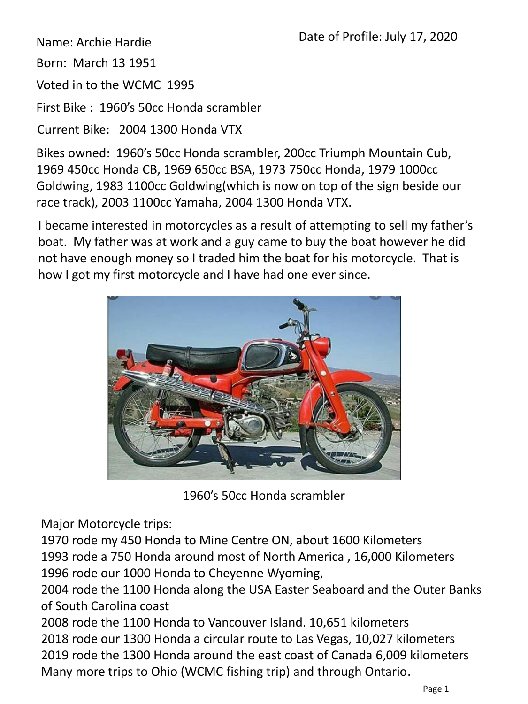Name: Archie Hardie

Born: March 13 1951

Voted in to the WCMC 1995

First Bike : 1960's 50cc Honda scrambler

Current Bike: 2004 1300 Honda VTX

Bikes owned: 1960's 50cc Honda scrambler, 200cc Triumph Mountain Cub, 1969 450cc Honda CB, 1969 650cc BSA, 1973 750cc Honda, 1979 1000cc Goldwing, 1983 1100cc Goldwing(which is now on top of the sign beside our race track), 2003 1100cc Yamaha, 2004 1300 Honda VTX.

I became interested in motorcycles as a result of attempting to sell my father's boat. My father was at work and a guy came to buy the boat however he did not have enough money so I traded him the boat for his motorcycle. That is how I got my first motorcycle and I have had one ever since.



1960's 50cc Honda scrambler

Major Motorcycle trips:

1970 rode my 450 Honda to Mine Centre ON, about 1600 Kilometers 1993 rode a 750 Honda around most of North America , 16,000 Kilometers 1996 rode our 1000 Honda to Cheyenne Wyoming,

2004 rode the 1100 Honda along the USA Easter Seaboard and the Outer Banks of South Carolina coast

2008 rode the 1100 Honda to Vancouver Island. 10,651 kilometers 2018 rode our 1300 Honda a circular route to Las Vegas, 10,027 kilometers 2019 rode the 1300 Honda around the east coast of Canada 6,009 kilometers Many more trips to Ohio (WCMC fishing trip) and through Ontario.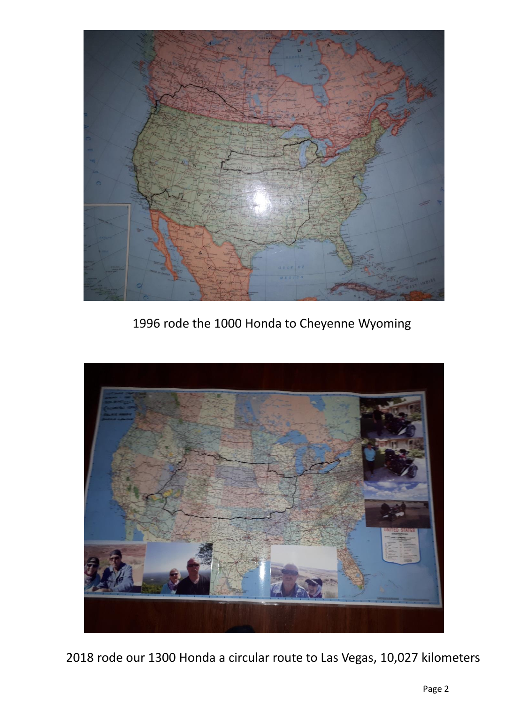

1996 rode the 1000 Honda to Cheyenne Wyoming



2018 rode our 1300 Honda a circular route to Las Vegas, 10,027 kilometers